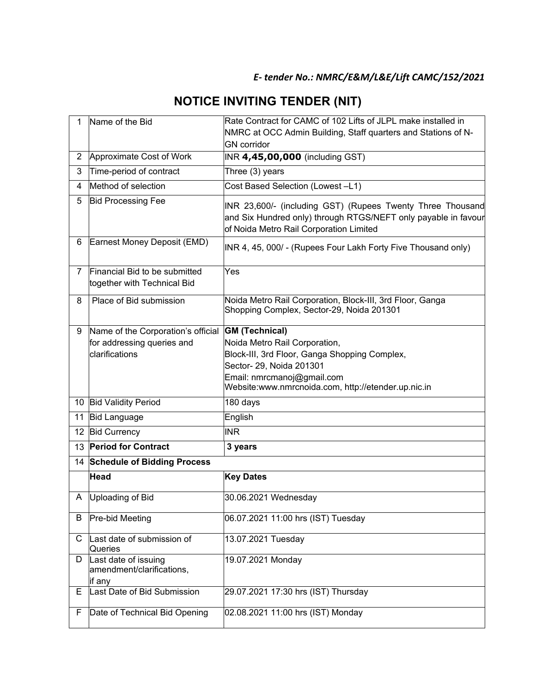## *E- tender No.: NMRC/E&M/L&E/Lift CAMC/152/2021*

## **NOTICE INVITING TENDER (NIT)**

| $\mathbf{1}$   | Name of the Bid                                                                    | Rate Contract for CAMC of 102 Lifts of JLPL make installed in<br>NMRC at OCC Admin Building, Staff quarters and Stations of N-<br><b>GN</b> corridor                                                                     |  |  |
|----------------|------------------------------------------------------------------------------------|--------------------------------------------------------------------------------------------------------------------------------------------------------------------------------------------------------------------------|--|--|
| $\overline{2}$ | Approximate Cost of Work                                                           | INR 4,45,00,000 (including GST)                                                                                                                                                                                          |  |  |
| 3              | Time-period of contract                                                            | Three (3) years                                                                                                                                                                                                          |  |  |
| 4              | Method of selection                                                                | Cost Based Selection (Lowest -L1)                                                                                                                                                                                        |  |  |
| 5              | <b>Bid Processing Fee</b>                                                          | INR 23,600/- (including GST) (Rupees Twenty Three Thousand<br>and Six Hundred only) through RTGS/NEFT only payable in favour<br>of Noida Metro Rail Corporation Limited                                                  |  |  |
| 6              | Earnest Money Deposit (EMD)                                                        | INR 4, 45, 000/ - (Rupees Four Lakh Forty Five Thousand only)                                                                                                                                                            |  |  |
| 7              | Financial Bid to be submitted<br>together with Technical Bid                       | Yes                                                                                                                                                                                                                      |  |  |
| 8              | Place of Bid submission                                                            | Noida Metro Rail Corporation, Block-III, 3rd Floor, Ganga<br>Shopping Complex, Sector-29, Noida 201301                                                                                                                   |  |  |
| 9              | Name of the Corporation's official<br>for addressing queries and<br>clarifications | <b>GM</b> (Technical)<br>Noida Metro Rail Corporation,<br>Block-III, 3rd Floor, Ganga Shopping Complex,<br>Sector- 29, Noida 201301<br>Email: nmrcmanoj@gmail.com<br>Website:www.nmrcnoida.com, http://etender.up.nic.in |  |  |
|                | 10 Bid Validity Period                                                             | 180 days                                                                                                                                                                                                                 |  |  |
|                | 11 Bid Language                                                                    | English                                                                                                                                                                                                                  |  |  |
|                | 12 Bid Currency                                                                    | <b>INR</b>                                                                                                                                                                                                               |  |  |
|                | 13 Period for Contract                                                             | 3 years                                                                                                                                                                                                                  |  |  |
|                | 14 Schedule of Bidding Process                                                     |                                                                                                                                                                                                                          |  |  |
|                | <b>Head</b>                                                                        | <b>Key Dates</b>                                                                                                                                                                                                         |  |  |
|                | A Uploading of Bid                                                                 | 30.06.2021 Wednesday                                                                                                                                                                                                     |  |  |
| B              | Pre-bid Meeting                                                                    | 06.07.2021 11:00 hrs (IST) Tuesday                                                                                                                                                                                       |  |  |
| C              | Last date of submission of<br>Queries                                              | 13.07.2021 Tuesday                                                                                                                                                                                                       |  |  |
| D.             | Last date of issuing<br>amendment/clarifications,<br>if any                        | 19.07.2021 Monday                                                                                                                                                                                                        |  |  |
| Е              | Last Date of Bid Submission                                                        | 29.07.2021 17:30 hrs (IST) Thursday                                                                                                                                                                                      |  |  |
| F              | Date of Technical Bid Opening                                                      | 02.08.2021 11:00 hrs (IST) Monday                                                                                                                                                                                        |  |  |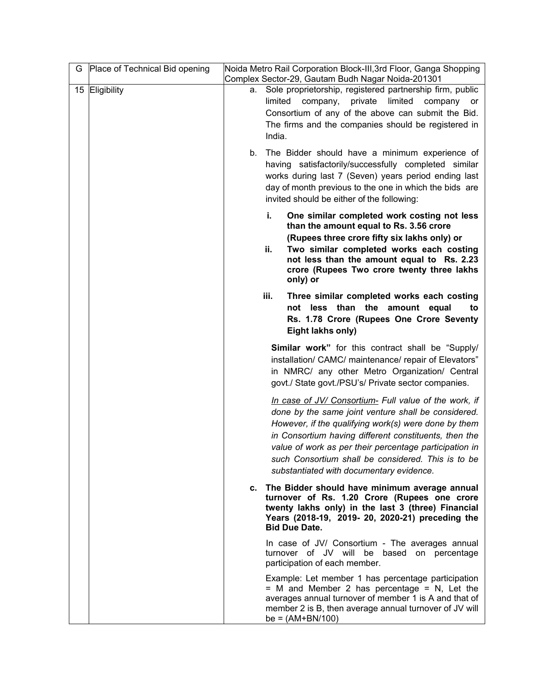| G | Place of Technical Bid opening |    | Noida Metro Rail Corporation Block-III, 3rd Floor, Ganga Shopping<br>Complex Sector-29, Gautam Budh Nagar Noida-201301                                                                                                                                                                                                                                                                    |
|---|--------------------------------|----|-------------------------------------------------------------------------------------------------------------------------------------------------------------------------------------------------------------------------------------------------------------------------------------------------------------------------------------------------------------------------------------------|
|   | 15 Eligibility                 |    | a. Sole proprietorship, registered partnership firm, public<br>company, private<br>limited<br>limited<br>company<br>or<br>Consortium of any of the above can submit the Bid.<br>The firms and the companies should be registered in<br>India.                                                                                                                                             |
|   |                                | b. | The Bidder should have a minimum experience of<br>having satisfactorily/successfully completed similar<br>works during last 7 (Seven) years period ending last<br>day of month previous to the one in which the bids are<br>invited should be either of the following:                                                                                                                    |
|   |                                |    | One similar completed work costing not less<br>i.<br>than the amount equal to Rs. 3.56 crore<br>(Rupees three crore fifty six lakhs only) or<br>Two similar completed works each costing<br>ii.<br>not less than the amount equal to Rs. 2.23<br>crore (Rupees Two crore twenty three lakhs<br>only) or                                                                                   |
|   |                                |    | iii.<br>Three similar completed works each costing<br>not less than the amount equal<br>to<br>Rs. 1.78 Crore (Rupees One Crore Seventy<br>Eight lakhs only)                                                                                                                                                                                                                               |
|   |                                |    | <b>Similar work"</b> for this contract shall be "Supply/<br>installation/ CAMC/ maintenance/ repair of Elevators"<br>in NMRC/ any other Metro Organization/ Central<br>govt./ State govt./PSU's/ Private sector companies.                                                                                                                                                                |
|   |                                |    | In case of JV/ Consortium- Full value of the work, if<br>done by the same joint venture shall be considered.<br>However, if the qualifying work(s) were done by them<br>in Consortium having different constituents, then the<br>value of work as per their percentage participation in<br>such Consortium shall be considered. This is to be<br>substantiated with documentary evidence. |
|   |                                |    | c. The Bidder should have minimum average annual<br>turnover of Rs. 1.20 Crore (Rupees one crore<br>twenty lakhs only) in the last 3 (three) Financial<br>Years (2018-19, 2019- 20, 2020-21) preceding the<br><b>Bid Due Date.</b>                                                                                                                                                        |
|   |                                |    | In case of JV/ Consortium - The averages annual<br>turnover of JV will be based on percentage<br>participation of each member.                                                                                                                                                                                                                                                            |
|   |                                |    | Example: Let member 1 has percentage participation<br>$=$ M and Member 2 has percentage $=$ N, Let the<br>averages annual turnover of member 1 is A and that of<br>member 2 is B, then average annual turnover of JV will<br>$be = (AM+BN/100)$                                                                                                                                           |